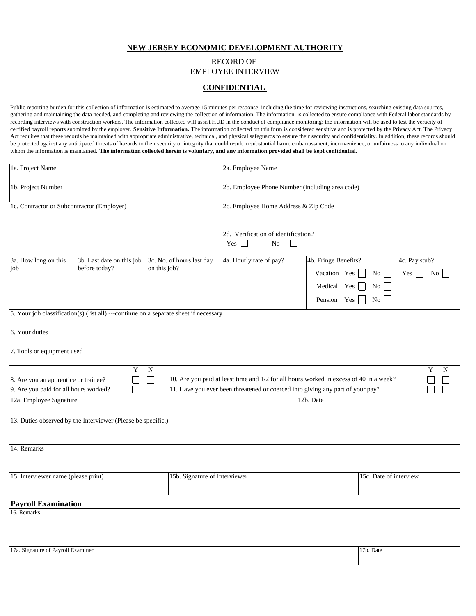## **NEW JERSEY ECONOMIC DEVELOPMENT AUTHORITY**

# RECORD OF EMPLOYEE INTERVIEW

# **CONFIDENTIAL**

Public reporting burden for this collection of information is estimated to average 15 minutes per response, including the time for reviewing instructions, searching existing data sources, gathering and maintaining the data needed, and completing and reviewing the collection of information. The information is collected to ensure compliance with Federal labor standards by recording interviews with construction workers. The information collected will assist HUD in the conduct of compliance monitoring: the information will be used to test the veracity of certified payroll reports submitted by the employer. **Sensitive Information.** The information collected on this form is considered sensitive and is protected by the Privacy Act. The Privacy Act requires that these records be maintained with appropriate administrative, technical, and physical safeguards to ensure their security and confidentiality. In addition, these records should be protected against any anticipated threats of hazards to their security or integrity that could result in substantial harm, embarrassment, inconvenience, or unfairness to any individual on whom the information is maintained. **The information collected herein is voluntary, and any information provided shall be kept confidential.** 

| 1a. Project Name                                                                                         |                                                              |                                                                                       | 2a. Employee Name                                                                                                                                                        |                                                                    |                        |                            |  |
|----------------------------------------------------------------------------------------------------------|--------------------------------------------------------------|---------------------------------------------------------------------------------------|--------------------------------------------------------------------------------------------------------------------------------------------------------------------------|--------------------------------------------------------------------|------------------------|----------------------------|--|
| 1b. Project Number                                                                                       |                                                              |                                                                                       | 2b. Employee Phone Number (including area code)                                                                                                                          |                                                                    |                        |                            |  |
| 1c. Contractor or Subcontractor (Employer)                                                               |                                                              |                                                                                       | 2c. Employee Home Address & Zip Code                                                                                                                                     |                                                                    |                        |                            |  |
|                                                                                                          |                                                              |                                                                                       | 2d. Verification of identification?<br>Yes<br>No<br>$\sim$                                                                                                               |                                                                    |                        |                            |  |
| 3a. How long on this<br>job                                                                              | 3b. Last date on this job<br>before today?                   | 3c. No. of hours last day<br>on this job?                                             | 4a. Hourly rate of pay?                                                                                                                                                  | 4b. Fringe Benefits?<br>Vacation Yes<br>Medical Yes<br>Pension Yes | No<br>No<br>No 1       | 4c. Pay stub?<br>Yes<br>No |  |
|                                                                                                          |                                                              | 5. Your job classification(s) (list all) ---continue on a separate sheet if necessary |                                                                                                                                                                          |                                                                    |                        |                            |  |
| 6. Your duties                                                                                           |                                                              |                                                                                       |                                                                                                                                                                          |                                                                    |                        |                            |  |
| 7. Tools or equipment used                                                                               |                                                              |                                                                                       |                                                                                                                                                                          |                                                                    |                        |                            |  |
| 8. Are you an apprentice or trainee?<br>9. Are you paid for all hours worked?<br>12a. Employee Signature | $\mathbf Y$                                                  | N                                                                                     | 10. Are you paid at least time and 1/2 for all hours worked in excess of 40 in a week?<br>11. Have you ever been threatened or coerced into giving any part of your pay? | 12b. Date                                                          |                        | Y<br>N                     |  |
|                                                                                                          |                                                              |                                                                                       |                                                                                                                                                                          |                                                                    |                        |                            |  |
|                                                                                                          | 13. Duties observed by the Interviewer (Please be specific.) |                                                                                       |                                                                                                                                                                          |                                                                    |                        |                            |  |
| 14. Remarks                                                                                              |                                                              |                                                                                       |                                                                                                                                                                          |                                                                    |                        |                            |  |
| 15. Interviewer name (please print)                                                                      |                                                              |                                                                                       | 15b. Signature of Interviewer                                                                                                                                            |                                                                    | 15c. Date of interview |                            |  |
| <b>Payroll Examination</b><br>16. Remarks                                                                |                                                              |                                                                                       |                                                                                                                                                                          |                                                                    |                        |                            |  |
|                                                                                                          |                                                              |                                                                                       |                                                                                                                                                                          |                                                                    |                        |                            |  |

| 17a. Signature of Payroll Examiner | <sup>1</sup> 7b. Date |  |
|------------------------------------|-----------------------|--|
|                                    |                       |  |